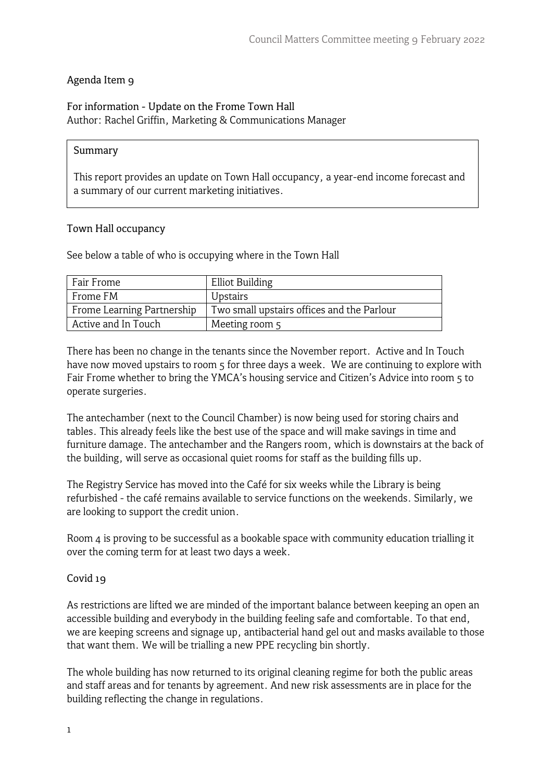## Agenda Item 9

## For information - Update on the Frome Town Hall Author: Rachel Griffin, Marketing & Communications Manager

#### Summary

This report provides an update on Town Hall occupancy, a year-end income forecast and a summary of our current marketing initiatives.

#### Town Hall occupancy

See below a table of who is occupying where in the Town Hall

| Fair Frome                 | <b>Elliot Building</b>                     |
|----------------------------|--------------------------------------------|
| Frome FM                   | Upstairs                                   |
| Frome Learning Partnership | Two small upstairs offices and the Parlour |
| Active and In Touch        | Meeting room 5                             |

There has been no change in the tenants since the November report. Active and In Touch have now moved upstairs to room 5 for three days a week. We are continuing to explore with Fair Frome whether to bring the YMCA's housing service and Citizen's Advice into room 5 to operate surgeries.

The antechamber (next to the Council Chamber) is now being used for storing chairs and tables. This already feels like the best use of the space and will make savings in time and furniture damage. The antechamber and the Rangers room, which is downstairs at the back of the building, will serve as occasional quiet rooms for staff as the building fills up.

The Registry Service has moved into the Café for six weeks while the Library is being refurbished - the café remains available to service functions on the weekends. Similarly, we are looking to support the credit union.

Room 4 is proving to be successful as a bookable space with community education trialling it over the coming term for at least two days a week.

### Covid 19

As restrictions are lifted we are minded of the important balance between keeping an open an accessible building and everybody in the building feeling safe and comfortable. To that end, we are keeping screens and signage up, antibacterial hand gel out and masks available to those that want them. We will be trialling a new PPE recycling bin shortly.

The whole building has now returned to its original cleaning regime for both the public areas and staff areas and for tenants by agreement. And new risk assessments are in place for the building reflecting the change in regulations.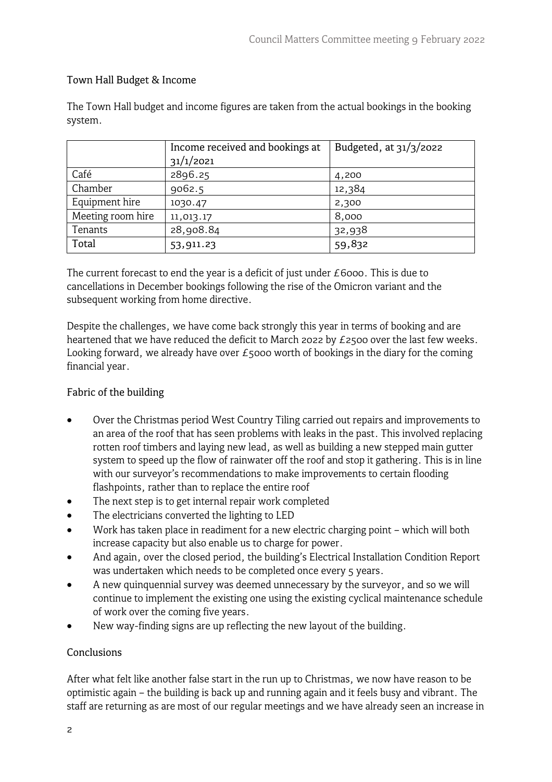# Town Hall Budget & Income

The Town Hall budget and income figures are taken from the actual bookings in the booking system.

|                   | Income received and bookings at | Budgeted, at $31/3/2022$ |
|-------------------|---------------------------------|--------------------------|
|                   | 31/1/2021                       |                          |
| Café              | 2896.25                         | 4,200                    |
| Chamber           | 9062.5                          | 12,384                   |
| Equipment hire    | 1030.47                         | 2,300                    |
| Meeting room hire | 11,013.17                       | 8,000                    |
| Tenants           | 28,908.84                       | 32,938                   |
| Total             | 53,911.23                       | 59,832                   |

The current forecast to end the year is a deficit of just under £6000. This is due to cancellations in December bookings following the rise of the Omicron variant and the subsequent working from home directive.

Despite the challenges, we have come back strongly this year in terms of booking and are heartened that we have reduced the deficit to March 2022 by £2500 over the last few weeks. Looking forward, we already have over  $E_5$ 000 worth of bookings in the diary for the coming financial year.

# Fabric of the building

- Over the Christmas period West Country Tiling carried out repairs and improvements to an area of the roof that has seen problems with leaks in the past. This involved replacing rotten roof timbers and laying new lead, as well as building a new stepped main gutter system to speed up the flow of rainwater off the roof and stop it gathering. This is in line with our surveyor's recommendations to make improvements to certain flooding flashpoints, rather than to replace the entire roof
- The next step is to get internal repair work completed
- The electricians converted the lighting to LED
- Work has taken place in readiment for a new electric charging point which will both increase capacity but also enable us to charge for power.
- And again, over the closed period, the building's Electrical Installation Condition Report was undertaken which needs to be completed once every 5 years.
- A new quinquennial survey was deemed unnecessary by the surveyor, and so we will continue to implement the existing one using the existing cyclical maintenance schedule of work over the coming five years.
- New way-finding signs are up reflecting the new layout of the building.

### **Conclusions**

After what felt like another false start in the run up to Christmas, we now have reason to be optimistic again – the building is back up and running again and it feels busy and vibrant. The staff are returning as are most of our regular meetings and we have already seen an increase in